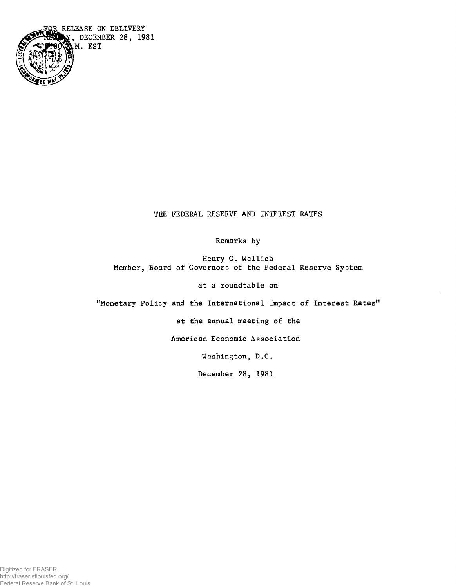

**THE FEDERAL RESERVE AND INTEREST RATES**

**Remarks by**

**Henry C. Wallich Member, Board of Governors of the Federal Reserve System**

**at a roundtable on**

**'Monetary Policy and the International Impact of Interest Rates"** 

**at the annual meeting of the**

**American Economic Association**

**Washington, D.C.**

**December 28, 1981**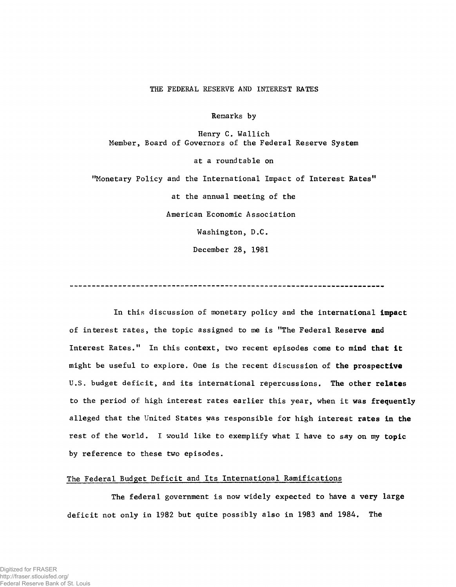## **THE FEDERAL RESERVE AND INTEREST RATES**

**Remarks by**

**Henry C. Wallich Member, Board of Governors of the Federal Reserve System at a roundtable on "Monetary Policy and the International Impact of Interest Rates11 at the annual meeting of the American Economic Association Washington, D.C. December 28, 1981**

**In this discussion of monetary policy and the international impact of interest rates, the topic assigned to me is "The Federal Reserve and Interest Rates." In this context, two recent episodes come to mind that it might be useful to explore. One is the recent discussion of the prospective U.S. budget deficit, and its international repercussions. The other relates to the period of high interest rates earlier this year, when it was frequently alleged that the United States was responsible for high interest rates in the rest of the world. I would like to exemplify what I have to say on my topic by reference to these two episodes.**

## **The Federal Budget Deficit and Its International Ramifications**

**The federal government is now widely expected to have a very large deficit not only in 1982 but quite possibly also in 1983 and 1984. The**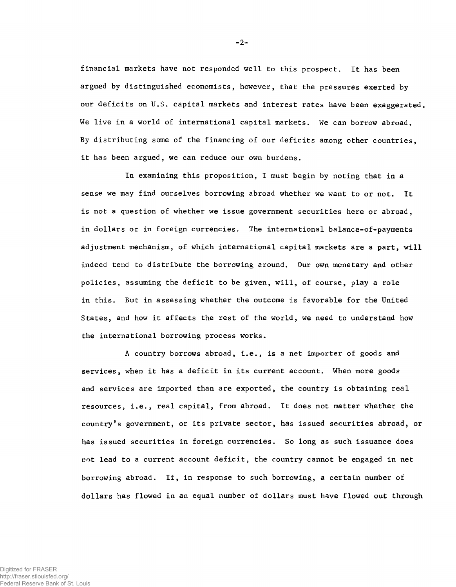**financial markets have not responded well to this prospect. It has been argued by distinguished economists, however, that the pressures exerted by our deficits on U.S. capital markets and interest rates have been exaggerated. We live in a world of international capital markets. We can borrow abroad. By distributing some of the financing of our deficits among other countries, it has been argued, we can reduce our own burdens.**

**In examining this proposition, I must begin by noting that in a sense we may find ourselves borrowing abroad whether we want to or not. It is not a question of whether we issue government securities here or abroad, in dollars or in foreign currencies. The international balance-of-payments adjustment mechanism, of which international capital markets are a part, will indeed tend to distribute the borrowing around. Our own monetary and other policies, assuming the deficit to be given, will, of course, play a role in this. But in assessing whether the outcome is favorable for the United States, and how it affects the rest of the world, we need to understand how the international borrowing process works.**

**A country borrows abroad, i.e., is a net importer of goods and services, when it has a deficit in its current account. When more goods and services are imported than are exported, the country is obtaining real resources, i.e., real capital, from abroad. It does not matter whether the country\*s government, or its private sector, has issued securities abroad, or has issued securities in foreign currencies. So long as such issuance does not lead to a current account deficit, the country cannot be engaged in net borrowing abroad. If, in response to such borrowing, a certain number of dollars has flowed in an equal number of dollars must have flowed out through**

**-2-**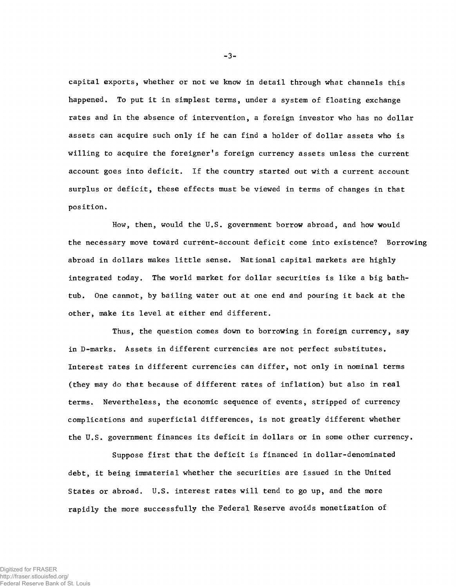**capital exports, whether or not we know in detail through what channels this happened. To put it in simplest terms, under a system of floating exchange rates and in the absence of intervention, a foreign investor who has no dollar assets can acquire such only if he can find a holder of dollar assets who is willing to acquire the foreigner's foreign currency assets unless the current account goes into deficit. If the country started out with a current account surplus or deficit, these effects must be viewed in terms of changes in that position.**

**How, then, would the U.S. government borrow abroad, and how would the necessary move toward current-account deficit come into existence? Borrowing abroad in dollars makes little sense. National capital markets are highly integrated today. The world market for dollar securities is like a big bathtub. One cannot, by bailing water out at one end and pouring it back at the other, make its level at either end different.**

**Thus, the question comes down to borrowing in foreign currency, say in D-marks. Assets in different currencies are not perfect substitutes. Interest rates in different currencies can differ, not only in nominal terms (they may do that because of different rates of inflation) but also in real terms. Nevertheless, the economic sequence of events, stripped of currency complications and superficial differences, is not greatly different whether the U.S. government finances its deficit in dollars or in some other currency.**

**Suppose first that the deficit is financed in dollar-denominated debt, it being immaterial whether the securities are issued in the United States or abroad. U.S. interest rates will tend to go up, and the more rapidly the more successfully the Federal Reserve avoids monetization of**

**-3-**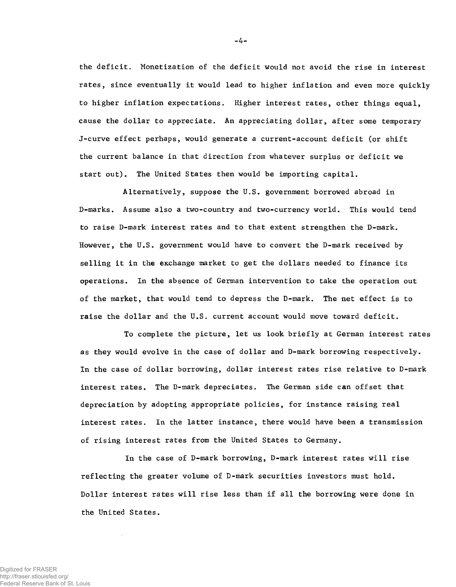**the deficit. Monetization of the deficit would not avoid the rise in interest rates, since eventually it would lead to higher inflation and even more quickly to higher inflation expectations. Higher interest rates, other things equal, cause the dollar to appreciate. An appreciating dollar, after some temporary J-curve effect perhaps, would generate a current-account deficit (or shift the current balance in that direction from whatever surplus or deficit we start out). The United States then would be importing capital.**

**Alternatively, suppose the U.S. government borrowed abroad in D-marks. Assume also a two-country and two-currency world. This would tend to raise D-mark interest rates and to that extent strengthen the D-mark. However, the U.S. government would have to convert the D-mark received by selling it in the exchange market to get the dollars needed to finance its operations. In the absence of German intervention to take the operation out of the market, that would tend to depress the D-mark. The net effect is to raise the dollar and the U.S. current account would move toward deficit.**

**To complete the picture, let us look briefly at German interest rates as they would evolve in the case of dollar and D-mark borrowing respectively. In the case of dollar borrowing, dollar interest rates rise relative to D-mark interest rates. The D-mark depreciates. The German side can offset that depreciation by adopting appropriate policies, for instance raising real interest rates. In the latter instance, there would have been a transmission of rising interest rates from the United States to Germany.**

**In the case of D-mark borrowing, D-mark interest rates will rise reflecting the greater volume of D-mark securities investors must hold. Dollar interest rates will rise less than if all the borrowing were done in the United States.**

**-4-**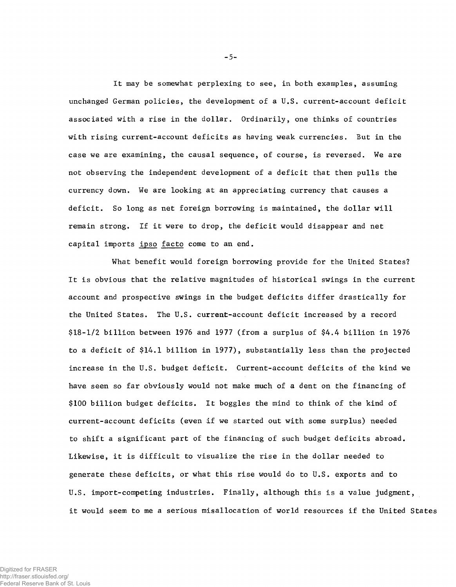**It may be somewhat perplexing to see, in both examples, assuming unchanged German policies, the development of a U.S. current-account deficit associated with a rise in the dollar. Ordinarily, one thinks of countries with rising current-account deficits as having weak currencies. But in the case we are examining, the causal sequence, of course, is reversed. We are not observing the independent development of a deficit that then pulls the currency down. We are looking at an appreciating currency that causes a deficit. So long as net foreign borrowing is maintained, the dollar will remain strong. If it were to drop, the deficit would disappear and net capital imports ipso facto come to an end.**

**What benefit would foreign borrowing provide for the United States? It is obvious that the relative magnitudes of historical swings in the current account and prospective swings in the budget deficits differ drastically for the United States. The U.S. current-account deficit increased by a record \$18-1/2 billion between 1976 and 1977 (from a surplus of \$4.4 billion in 1976 to a deficit of \$14.1 billion in 1977), substantially less than the projected increase in the U.S. budget deficit. Current-account deficits of the kind we have seen so far obviously would not make much of a dent on the financing of \$100 billion budget deficits. It boggles the mind to think of the kind of current-account deficits (even if we started out with some surplus) needed to shift a significant part of the financing of such budget deficits abroad. Likewise, it is difficult to visualize the rise in the dollar needed to generate these deficits, or what this rise would do to U.S. exports and to U.S. import-competing industries. Finally, although this is a value judgment, it would seem to me a serious misallocation of world resources if the United States**

**-5-**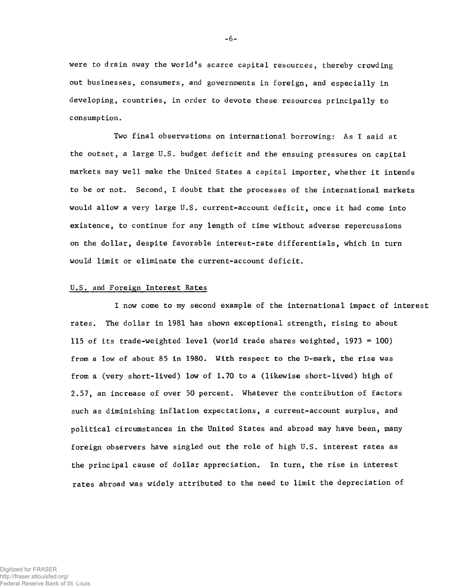**were to drain away the world's scarce capital resources, thereby crowding out businesses, consumers, and governments in foreign, and especially in developing, countries, in order to devote these resources principally to consumption.**

**Two final observations on international borrowing: As I said at the outset, a large U.S. budget deficit and the ensuing pressures on capital markets may well make the United States a capital importer, whether it intends to be or not. Second, I doubt that the processes of the international markets would allow a very large U.S. current-account deficit, once it had come into existence, to continue for any length of time without adverse repercussions on the dollar, despite favorable interest-rate differentials, which in turn would limit or eliminate the current-account deficit.**

## **U.S. and Foreign Interest Rates**

**I now come to my second example of the international impact of interest rates. The dollar in 1981 has shown exceptional strength, rising to about 115 of its trade-weighted level (world trade shares weighted, 1973 = 100) from a low of about 85 in 1980. With respect to the D-mark, the rise was from a (very short-lived) low of 1.70 to a (likewise short-lived) high of 2.57, an increase of over 50 percent. Whatever the contribution of factors such as diminishing inflation expectations, a current-account surplus, and political circumstances in the United States and abroad may have been, many foreign observers have singled out the role of high U.S. interest rates as the principal cause of dollar appreciation. In turn, the rise in interest rates abroad was widely attributed to the need to limit the depreciation of**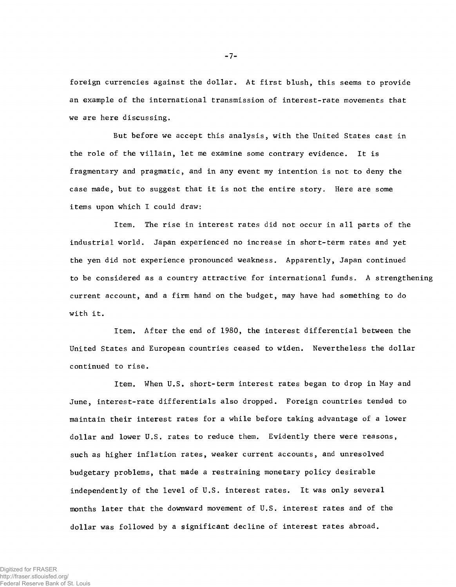**foreign currencies against the dollar. At first blush, this seems to provide an example of the international transmission of interest-rate movements that we are here discussing.**

**But before we accept this analysis, with the United States cast in the role of the villain, let me examine some contrary evidence. It is fragmentary and pragmatic, and in any event my intention is not to deny the case made, but to suggest that it is not the entire story. Here are some items upon which I could draw:**

**Item. The rise in interest rates did not occur in all parts of the industrial world. Japan experienced no increase in short-term rates and yet the yen did not experience pronounced weakness. Apparently, Japan continued to be considered as a country attractive for international funds. A strengthening current account, and a firm hand on the budget, may have had something to do with it.**

**Item. After the end of 1980, the interest differential between the United States and European countries ceased to widen. Nevertheless the dollar continued to rise.**

**Item. When U.S. short-term interest rates began to drop in May and June, interest-rate differentials also dropped. Foreign countries tended to maintain their interest rates for a while before taking advantage of a lower dollar and lower U.S. rates to reduce them. Evidently there were reasons, such as higher inflation rates, weaker current accounts, and unresolved budgetary problems, that made a restraining monetary policy desirable independently of the level of U.S. interest rates. It was only several months later that the downward movement of U.S. interest rates and of the dollar was followed by a significant decline of interest rates abroad.**

**-7-**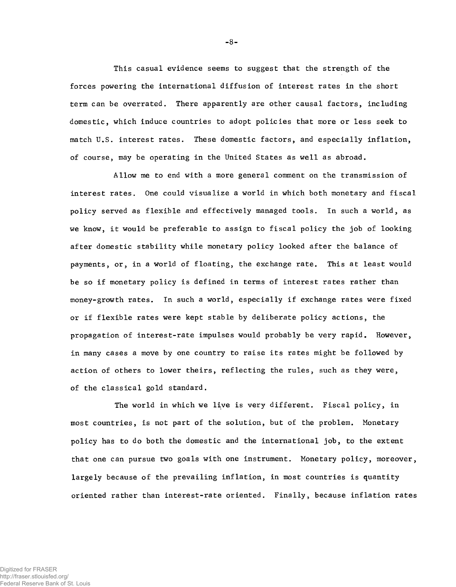**This casual evidence seems to suggest that the strength of the forces powering the international diffusion of interest rates in the short term can be overrated. There apparently are other causal factors, including domestic, which induce countries to adopt policies that more or less seek to match U.S. interest rates. These domestic factors, and especially inflation, of course, may be operating in the United States as well as abroad.**

**Allow me to end with a more general comment on the transmission of interest rates. One could visualize a world in which both monetary and fiscal policy served as flexible and effectively managed tools. In such a world, as we know, it would be preferable to assign to fiscal policy the job of looking after domestic stability while monetary policy looked after the balance of payments, or, in a world of floating, the exchange rate. This at least would be so if monetary policy is defined in terms of interest rates rather than money-growth rates. In such a world, especially if exchange rates were fixed or if flexible rates were kept stable by deliberate policy actions, the propagation of interest-rate impulses would probably be very rapid. However, in many cases a move by one country to raise its rates might be followed by action of others to lower theirs, reflecting the rules, such as they were, of the classical gold standard.**

**The world in which we live is very different. Fiscal policy, in most countries, is not part of the solution, but of the problem. Monetary policy has to do both the domestic and the international job, to the extent that one can pursue two goals with one instrument. Monetary policy, moreover, largely because of the prevailing inflation, in most countries is quantity oriented rather than interest-rate oriented. Finally, because inflation rates**

**-8-**